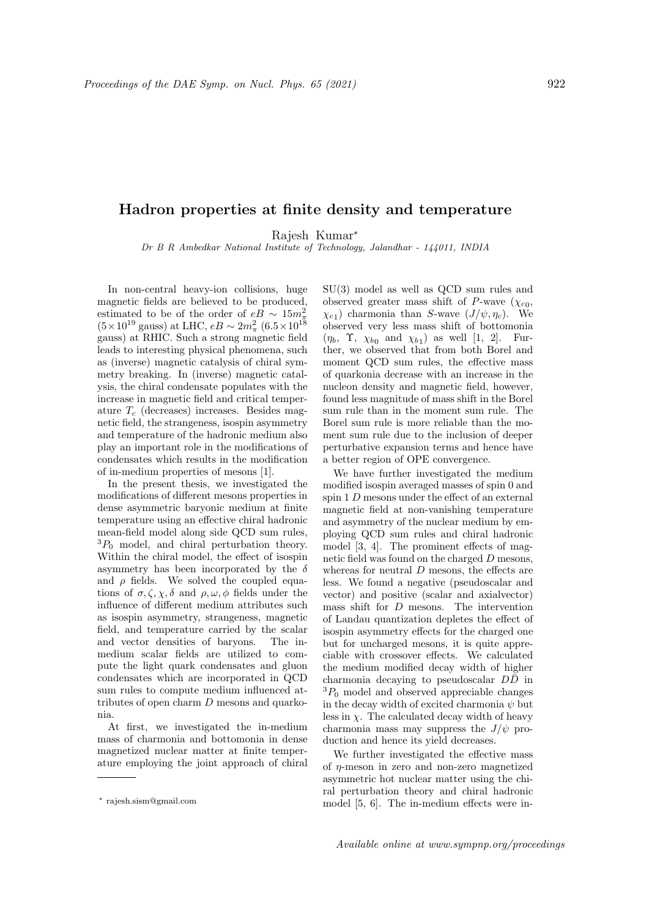## Hadron properties at finite density and temperature

Rajesh Kumar<sup>∗</sup>

Dr B R Ambedkar National Institute of Technology, Jalandhar - 144011, INDIA

In non-central heavy-ion collisions, huge magnetic fields are believed to be produced, estimated to be of the order of  $eB \sim 15m_{\pi}^2$  $(5 \times 10^{19} \text{ gauss})$  at LHC,  $eB \sim 2m_{\pi}^2 (6.5 \times 10^{18} \text{ s})$ gauss) at RHIC. Such a strong magnetic field leads to interesting physical phenomena, such as (inverse) magnetic catalysis of chiral symmetry breaking. In (inverse) magnetic catalysis, the chiral condensate populates with the increase in magnetic field and critical temperature  $T_c$  (decreases) increases. Besides magnetic field, the strangeness, isospin asymmetry and temperature of the hadronic medium also play an important role in the modifications of condensates which results in the modification of in-medium properties of mesons [1].

In the present thesis, we investigated the modifications of different mesons properties in dense asymmetric baryonic medium at finite temperature using an effective chiral hadronic mean-field model along side QCD sum rules,  ${}^{3}P_{0}$  model, and chiral perturbation theory. Within the chiral model, the effect of isospin asymmetry has been incorporated by the  $\delta$ and  $\rho$  fields. We solved the coupled equations of  $\sigma, \zeta, \gamma, \delta$  and  $\rho, \omega, \phi$  fields under the influence of different medium attributes such as isospin asymmetry, strangeness, magnetic field, and temperature carried by the scalar and vector densities of baryons. The inmedium scalar fields are utilized to compute the light quark condensates and gluon condensates which are incorporated in QCD sum rules to compute medium influenced attributes of open charm D mesons and quarkonia.

At first, we investigated the in-medium mass of charmonia and bottomonia in dense magnetized nuclear matter at finite temperature employing the joint approach of chiral SU(3) model as well as QCD sum rules and observed greater mass shift of P-wave  $(\chi_{c0},$  $(\chi_{c1})$  charmonia than S-wave  $(J/\psi, \eta_c)$ . We observed very less mass shift of bottomonia  $(\eta_b, \Upsilon, \chi_{b_0} \text{ and } \chi_{b_1})$  as well [1, 2]. Further, we observed that from both Borel and moment QCD sum rules, the effective mass of quarkonia decrease with an increase in the nucleon density and magnetic field, however, found less magnitude of mass shift in the Borel sum rule than in the moment sum rule. The Borel sum rule is more reliable than the moment sum rule due to the inclusion of deeper perturbative expansion terms and hence have a better region of OPE convergence.

We have further investigated the medium modified isospin averaged masses of spin 0 and spin 1 D mesons under the effect of an external magnetic field at non-vanishing temperature and asymmetry of the nuclear medium by employing QCD sum rules and chiral hadronic model [3, 4]. The prominent effects of magnetic field was found on the charged D mesons, whereas for neutral  $D$  mesons, the effects are less. We found a negative (pseudoscalar and vector) and positive (scalar and axialvector) mass shift for D mesons. The intervention of Landau quantization depletes the effect of isospin asymmetry effects for the charged one but for uncharged mesons, it is quite appreciable with crossover effects. We calculated the medium modified decay width of higher charmonia decaying to pseudoscalar  $D\bar{D}$  in  ${}^{3}P_{0}$  model and observed appreciable changes in the decay width of excited charmonia  $\psi$  but less in  $\chi$ . The calculated decay width of heavy charmonia mass may suppress the  $J/\psi$  production and hence its yield decreases.

We further investigated the effective mass of  $\eta$ -meson in zero and non-zero magnetized asymmetric hot nuclear matter using the chiral perturbation theory and chiral hadronic model [5, 6]. The in-medium effects were in-

<sup>∗</sup> rajesh.sism@gmail.com